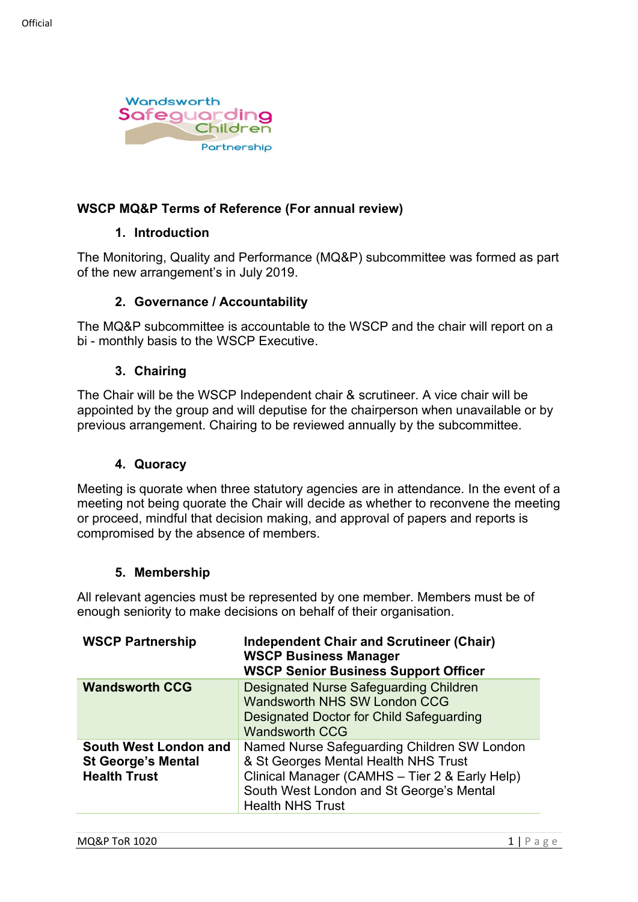

## **WSCP MQ&P Terms of Reference (For annual review)**

### **1. Introduction**

The Monitoring, Quality and Performance (MQ&P) subcommittee was formed as part of the new arrangement's in July 2019.

### **2. Governance / Accountability**

The MQ&P subcommittee is accountable to the WSCP and the chair will report on a bi - monthly basis to the WSCP Executive.

#### **3. Chairing**

The Chair will be the WSCP Independent chair & scrutineer. A vice chair will be appointed by the group and will deputise for the chairperson when unavailable or by previous arrangement. Chairing to be reviewed annually by the subcommittee.

### **4. Quoracy**

Meeting is quorate when three statutory agencies are in attendance. In the event of a meeting not being quorate the Chair will decide as whether to reconvene the meeting or proceed, mindful that decision making, and approval of papers and reports is compromised by the absence of members.

### **5. Membership**

All relevant agencies must be represented by one member. Members must be of enough seniority to make decisions on behalf of their organisation.

| <b>WSCP Partnership</b>                                                   | <b>Independent Chair and Scrutineer (Chair)</b><br><b>WSCP Business Manager</b><br><b>WSCP Senior Business Support Officer</b>                                                                               |
|---------------------------------------------------------------------------|--------------------------------------------------------------------------------------------------------------------------------------------------------------------------------------------------------------|
| <b>Wandsworth CCG</b>                                                     | <b>Designated Nurse Safeguarding Children</b><br><b>Wandsworth NHS SW London CCG</b><br>Designated Doctor for Child Safeguarding<br><b>Wandsworth CCG</b>                                                    |
| South West London and<br><b>St George's Mental</b><br><b>Health Trust</b> | Named Nurse Safeguarding Children SW London<br>& St Georges Mental Health NHS Trust<br>Clinical Manager (CAMHS - Tier 2 & Early Help)<br>South West London and St George's Mental<br><b>Health NHS Trust</b> |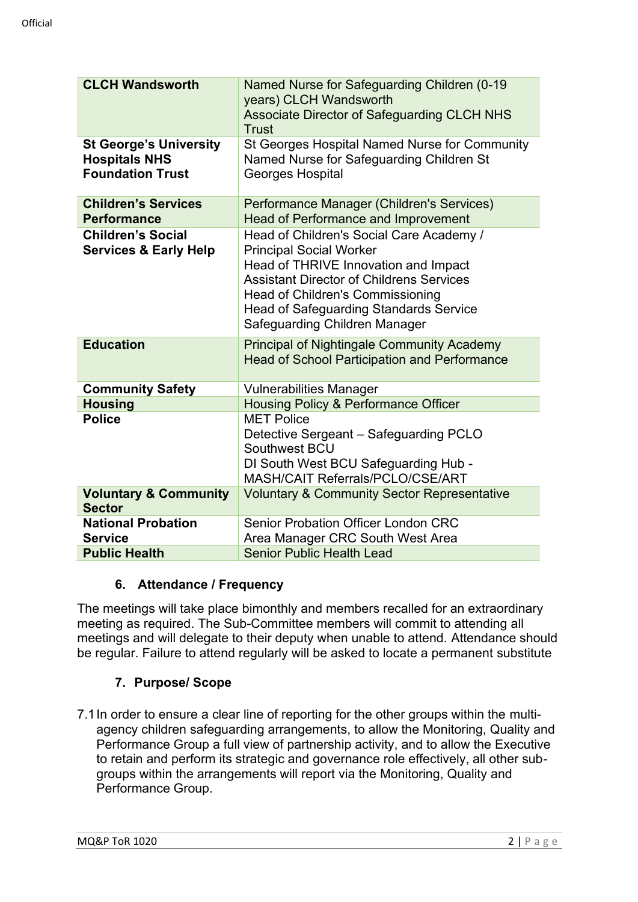| <b>CLCH Wandsworth</b>                                                           | Named Nurse for Safeguarding Children (0-19<br>years) CLCH Wandsworth<br><b>Associate Director of Safeguarding CLCH NHS</b><br><b>Trust</b>                                                                                                                                                 |
|----------------------------------------------------------------------------------|---------------------------------------------------------------------------------------------------------------------------------------------------------------------------------------------------------------------------------------------------------------------------------------------|
| <b>St George's University</b><br><b>Hospitals NHS</b><br><b>Foundation Trust</b> | St Georges Hospital Named Nurse for Community<br>Named Nurse for Safeguarding Children St<br>Georges Hospital                                                                                                                                                                               |
| <b>Children's Services</b><br><b>Performance</b>                                 | Performance Manager (Children's Services)<br><b>Head of Performance and Improvement</b>                                                                                                                                                                                                     |
| <b>Children's Social</b><br><b>Services &amp; Early Help</b>                     | Head of Children's Social Care Academy /<br><b>Principal Social Worker</b><br>Head of THRIVE Innovation and Impact<br><b>Assistant Director of Childrens Services</b><br>Head of Children's Commissioning<br><b>Head of Safeguarding Standards Service</b><br>Safeguarding Children Manager |
| <b>Education</b>                                                                 | <b>Principal of Nightingale Community Academy</b><br><b>Head of School Participation and Performance</b>                                                                                                                                                                                    |
| <b>Community Safety</b>                                                          | <b>Vulnerabilities Manager</b>                                                                                                                                                                                                                                                              |
| <b>Housing</b>                                                                   | <b>Housing Policy &amp; Performance Officer</b>                                                                                                                                                                                                                                             |
| <b>Police</b>                                                                    | <b>MET Police</b><br>Detective Sergeant - Safeguarding PCLO<br>Southwest BCU<br>DI South West BCU Safeguarding Hub -<br><b>MASH/CAIT Referrals/PCLO/CSE/ART</b>                                                                                                                             |
| <b>Voluntary &amp; Community</b><br><b>Sector</b>                                | <b>Voluntary &amp; Community Sector Representative</b>                                                                                                                                                                                                                                      |
| <b>National Probation</b><br><b>Service</b>                                      | <b>Senior Probation Officer London CRC</b><br>Area Manager CRC South West Area                                                                                                                                                                                                              |
| <b>Public Health</b>                                                             | <b>Senior Public Health Lead</b>                                                                                                                                                                                                                                                            |

## **6. Attendance / Frequency**

The meetings will take place bimonthly and members recalled for an extraordinary meeting as required. The Sub-Committee members will commit to attending all meetings and will delegate to their deputy when unable to attend. Attendance should be regular. Failure to attend regularly will be asked to locate a permanent substitute

# **7. Purpose/ Scope**

7.1In order to ensure a clear line of reporting for the other groups within the multiagency children safeguarding arrangements, to allow the Monitoring, Quality and Performance Group a full view of partnership activity, and to allow the Executive to retain and perform its strategic and governance role effectively, all other subgroups within the arrangements will report via the Monitoring, Quality and Performance Group.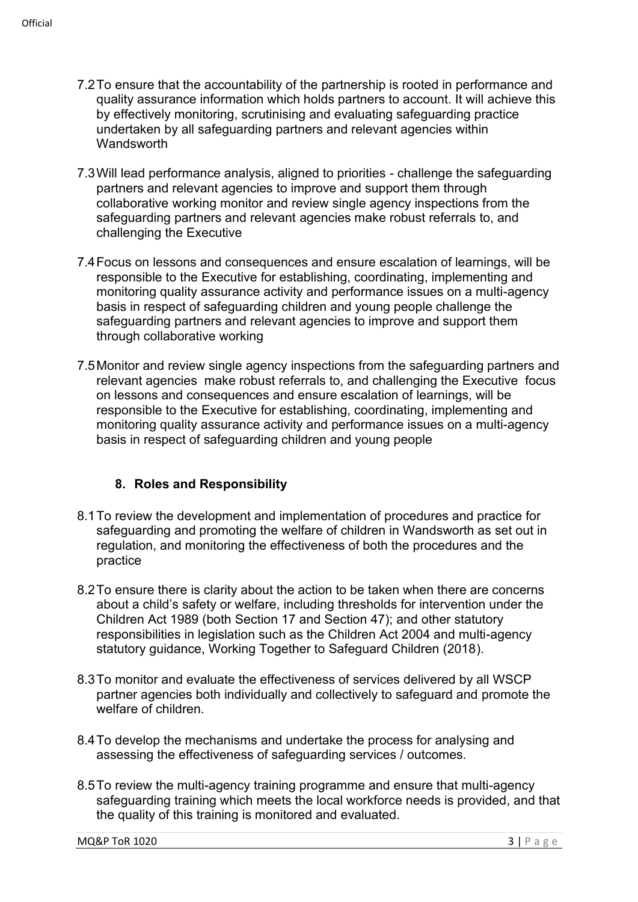- 7.2To ensure that the accountability of the partnership is rooted in performance and quality assurance information which holds partners to account. It will achieve this by effectively monitoring, scrutinising and evaluating safeguarding practice undertaken by all safeguarding partners and relevant agencies within **Wandsworth**
- 7.3Will lead performance analysis, aligned to priorities challenge the safeguarding partners and relevant agencies to improve and support them through collaborative working monitor and review single agency inspections from the safeguarding partners and relevant agencies make robust referrals to, and challenging the Executive
- 7.4Focus on lessons and consequences and ensure escalation of learnings, will be responsible to the Executive for establishing, coordinating, implementing and monitoring quality assurance activity and performance issues on a multi-agency basis in respect of safeguarding children and young people challenge the safeguarding partners and relevant agencies to improve and support them through collaborative working
- 7.5Monitor and review single agency inspections from the safeguarding partners and relevant agencies make robust referrals to, and challenging the Executive focus on lessons and consequences and ensure escalation of learnings, will be responsible to the Executive for establishing, coordinating, implementing and monitoring quality assurance activity and performance issues on a multi-agency basis in respect of safeguarding children and young people

## **8. Roles and Responsibility**

- 8.1To review the development and implementation of procedures and practice for safeguarding and promoting the welfare of children in Wandsworth as set out in regulation, and monitoring the effectiveness of both the procedures and the practice
- 8.2To ensure there is clarity about the action to be taken when there are concerns about a child's safety or welfare, including thresholds for intervention under the Children Act 1989 (both Section 17 and Section 47); and other statutory responsibilities in legislation such as the Children Act 2004 and multi-agency statutory guidance, Working Together to Safeguard Children (2018).
- 8.3To monitor and evaluate the effectiveness of services delivered by all WSCP partner agencies both individually and collectively to safeguard and promote the welfare of children.
- 8.4To develop the mechanisms and undertake the process for analysing and assessing the effectiveness of safeguarding services / outcomes.
- 8.5To review the multi-agency training programme and ensure that multi-agency safeguarding training which meets the local workforce needs is provided, and that the quality of this training is monitored and evaluated.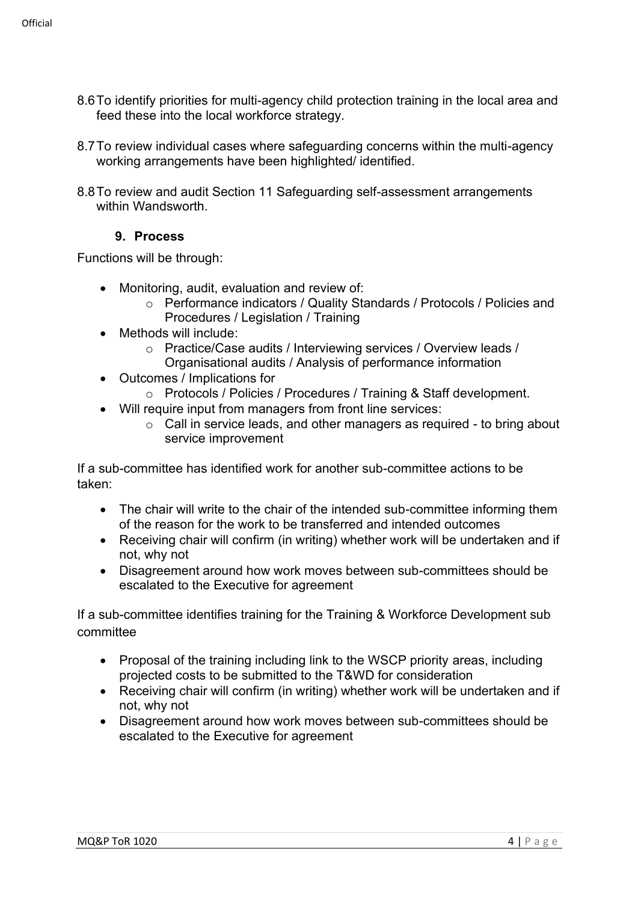- 8.6To identify priorities for multi-agency child protection training in the local area and feed these into the local workforce strategy.
- 8.7To review individual cases where safeguarding concerns within the multi-agency working arrangements have been highlighted/ identified.
- 8.8To review and audit Section 11 Safeguarding self-assessment arrangements within Wandsworth.

## **9. Process**

Functions will be through:

- Monitoring, audit, evaluation and review of:
	- o Performance indicators / Quality Standards / Protocols / Policies and Procedures / Legislation / Training
- Methods will include:
	- o Practice/Case audits / Interviewing services / Overview leads / Organisational audits / Analysis of performance information
- Outcomes / Implications for
	- o Protocols / Policies / Procedures / Training & Staff development.
- Will require input from managers from front line services:
	- o Call in service leads, and other managers as required to bring about service improvement

If a sub-committee has identified work for another sub-committee actions to be taken:

- The chair will write to the chair of the intended sub-committee informing them of the reason for the work to be transferred and intended outcomes
- Receiving chair will confirm (in writing) whether work will be undertaken and if not, why not
- Disagreement around how work moves between sub-committees should be escalated to the Executive for agreement

If a sub-committee identifies training for the Training & Workforce Development sub committee

- Proposal of the training including link to the WSCP priority areas, including projected costs to be submitted to the T&WD for consideration
- Receiving chair will confirm (in writing) whether work will be undertaken and if not, why not
- Disagreement around how work moves between sub-committees should be escalated to the Executive for agreement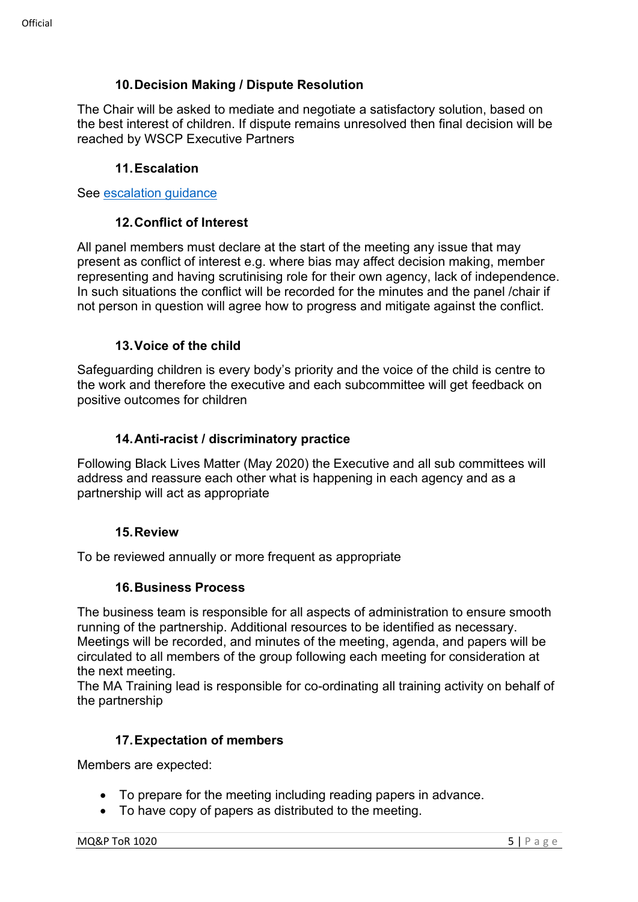## **10.Decision Making / Dispute Resolution**

The Chair will be asked to mediate and negotiate a satisfactory solution, based on the best interest of children. If dispute remains unresolved then final decision will be reached by WSCP Executive Partners

### **11.Escalation**

See [escalation guidance](https://wscp.org.uk/media/1329/inter_agency_escalation_policy-v2.docx)

#### **12.Conflict of Interest**

All panel members must declare at the start of the meeting any issue that may present as conflict of interest e.g. where bias may affect decision making, member representing and having scrutinising role for their own agency, lack of independence. In such situations the conflict will be recorded for the minutes and the panel /chair if not person in question will agree how to progress and mitigate against the conflict.

### **13.Voice of the child**

Safeguarding children is every body's priority and the voice of the child is centre to the work and therefore the executive and each subcommittee will get feedback on positive outcomes for children

### **14.Anti-racist / discriminatory practice**

Following Black Lives Matter (May 2020) the Executive and all sub committees will address and reassure each other what is happening in each agency and as a partnership will act as appropriate

#### **15.Review**

To be reviewed annually or more frequent as appropriate

#### **16.Business Process**

The business team is responsible for all aspects of administration to ensure smooth running of the partnership. Additional resources to be identified as necessary. Meetings will be recorded, and minutes of the meeting, agenda, and papers will be circulated to all members of the group following each meeting for consideration at the next meeting.

The MA Training lead is responsible for co-ordinating all training activity on behalf of the partnership

### **17.Expectation of members**

Members are expected:

- To prepare for the meeting including reading papers in advance.
- To have copy of papers as distributed to the meeting.